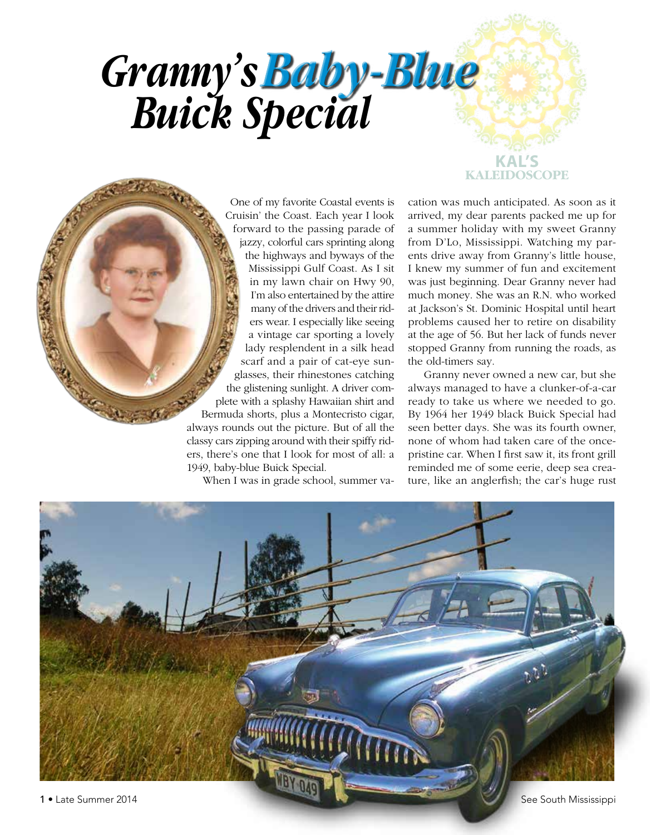## **KAL'S** *Granny's Buick Special Baby-Blue*

One of my favorite Coastal events is Cruisin' the Coast. Each year I look forward to the passing parade of jazzy, colorful cars sprinting along the highways and byways of the Mississippi Gulf Coast. As I sit in my lawn chair on Hwy 90, I'm also entertained by the attire many of the drivers and their riders wear. I especially like seeing a vintage car sporting a lovely lady resplendent in a silk head scarf and a pair of cat-eye sunglasses, their rhinestones catching the glistening sunlight. A driver complete with a splashy Hawaiian shirt and Bermuda shorts, plus a Montecristo cigar, always rounds out the picture. But of all the classy cars zipping around with their spiffy riders, there's one that I look for most of all: a 1949, baby-blue Buick Special.

When I was in grade school, summer va-

cation was much anticipated. As soon as it arrived, my dear parents packed me up for a summer holiday with my sweet Granny from D'Lo, Mississippi. Watching my parents drive away from Granny's little house, I knew my summer of fun and excitement was just beginning. Dear Granny never had much money. She was an R.N. who worked at Jackson's St. Dominic Hospital until heart problems caused her to retire on disability at the age of 56. But her lack of funds never stopped Granny from running the roads, as the old-timers say.

**KALEIDOSCOPE**

Granny never owned a new car, but she always managed to have a clunker-of-a-car ready to take us where we needed to go. By 1964 her 1949 black Buick Special had seen better days. She was its fourth owner, none of whom had taken care of the oncepristine car. When I first saw it, its front grill reminded me of some eerie, deep sea creature, like an anglerfish; the car's huge rust



**MARKET READ**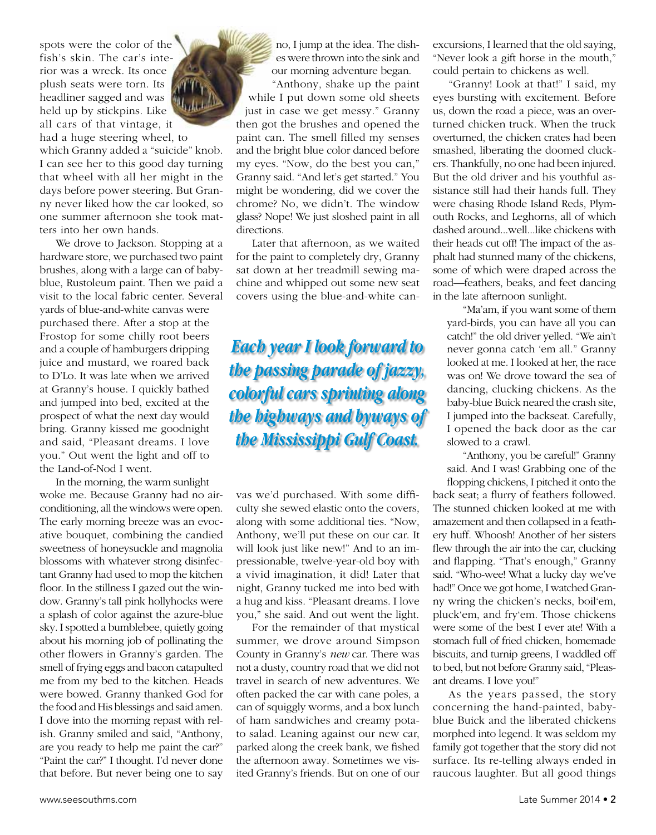spots were the color of the fish's skin. The car's interior was a wreck. Its once plush seats were torn. Its headliner sagged and was held up by stickpins. Like all cars of that vintage, it

had a huge steering wheel, to which Granny added a "suicide" knob. I can see her to this good day turning that wheel with all her might in the days before power steering. But Granny never liked how the car looked, so one summer afternoon she took matters into her own hands.

We drove to Jackson. Stopping at a hardware store, we purchased two paint brushes, along with a large can of babyblue, Rustoleum paint. Then we paid a visit to the local fabric center. Several yards of blue-and-white canvas were purchased there. After a stop at the Frostop for some chilly root beers and a couple of hamburgers dripping juice and mustard, we roared back to D'Lo. It was late when we arrived at Granny's house. I quickly bathed and jumped into bed, excited at the prospect of what the next day would bring. Granny kissed me goodnight and said, "Pleasant dreams. I love you." Out went the light and off to the Land-of-Nod I went.

In the morning, the warm sunlight woke me. Because Granny had no airconditioning, all the windows were open. The early morning breeze was an evocative bouquet, combining the candied sweetness of honeysuckle and magnolia blossoms with whatever strong disinfectant Granny had used to mop the kitchen floor. In the stillness I gazed out the window. Granny's tall pink hollyhocks were a splash of color against the azure-blue sky. I spotted a bumblebee, quietly going about his morning job of pollinating the other flowers in Granny's garden. The smell of frying eggs and bacon catapulted me from my bed to the kitchen. Heads were bowed. Granny thanked God for the food and His blessings and said amen. I dove into the morning repast with relish. Granny smiled and said, "Anthony, are you ready to help me paint the car?" "Paint the car?" I thought. I'd never done that before. But never being one to say

no, I jump at the idea. The dishes were thrown into the sink and our morning adventure began.

"Anthony, shake up the paint while I put down some old sheets just in case we get messy." Granny then got the brushes and opened the paint can. The smell filled my senses and the bright blue color danced before my eyes. "Now, do the best you can," Granny said. "And let's get started." You might be wondering, did we cover the chrome? No, we didn't. The window glass? Nope! We just sloshed paint in all directions.

Later that afternoon, as we waited for the paint to completely dry, Granny sat down at her treadmill sewing machine and whipped out some new seat covers using the blue-and-white can-

## *Each year I look forward to the passing parade of jazzy, colorful cars sprinting along the highways and byways of the Mississippi Gulf Coast.*

vas we'd purchased. With some difficulty she sewed elastic onto the covers, along with some additional ties. "Now, Anthony, we'll put these on our car. It will look just like new!" And to an impressionable, twelve-year-old boy with a vivid imagination, it did! Later that night, Granny tucked me into bed with a hug and kiss. "Pleasant dreams. I love you," she said. And out went the light.

For the remainder of that mystical summer, we drove around Simpson County in Granny's *new* car. There was not a dusty, country road that we did not travel in search of new adventures. We often packed the car with cane poles, a can of squiggly worms, and a box lunch of ham sandwiches and creamy potato salad. Leaning against our new car, parked along the creek bank, we fished the afternoon away. Sometimes we visited Granny's friends. But on one of our excursions, I learned that the old saying, "Never look a gift horse in the mouth," could pertain to chickens as well.

"Granny! Look at that!" I said, my eyes bursting with excitement. Before us, down the road a piece, was an overturned chicken truck. When the truck overturned, the chicken crates had been smashed, liberating the doomed cluckers. Thankfully, no one had been injured. But the old driver and his youthful assistance still had their hands full. They were chasing Rhode Island Reds, Plymouth Rocks, and Leghorns, all of which dashed around...well...like chickens with their heads cut off! The impact of the asphalt had stunned many of the chickens, some of which were draped across the road—feathers, beaks, and feet dancing in the late afternoon sunlight.

"Ma'am, if you want some of them yard-birds, you can have all you can catch!" the old driver yelled. "We ain't never gonna catch 'em all." Granny looked at me. I looked at her, the race was on! We drove toward the sea of dancing, clucking chickens. As the baby-blue Buick neared the crash site, I jumped into the backseat. Carefully, I opened the back door as the car slowed to a crawl.

"Anthony, you be careful!" Granny said. And I was! Grabbing one of the flopping chickens, I pitched it onto the

back seat; a flurry of feathers followed. The stunned chicken looked at me with amazement and then collapsed in a feathery huff. Whoosh! Another of her sisters flew through the air into the car, clucking and flapping. "That's enough," Granny said. "Who-wee! What a lucky day we've had!" Once we got home, I watched Granny wring the chicken's necks, boil'em, pluck'em, and fry'em. Those chickens were some of the best I ever ate! With a stomach full of fried chicken, homemade biscuits, and turnip greens, I waddled off to bed, but not before Granny said, "Pleasant dreams. I love you!"

As the years passed, the story concerning the hand-painted, babyblue Buick and the liberated chickens morphed into legend. It was seldom my family got together that the story did not surface. Its re-telling always ended in raucous laughter. But all good things